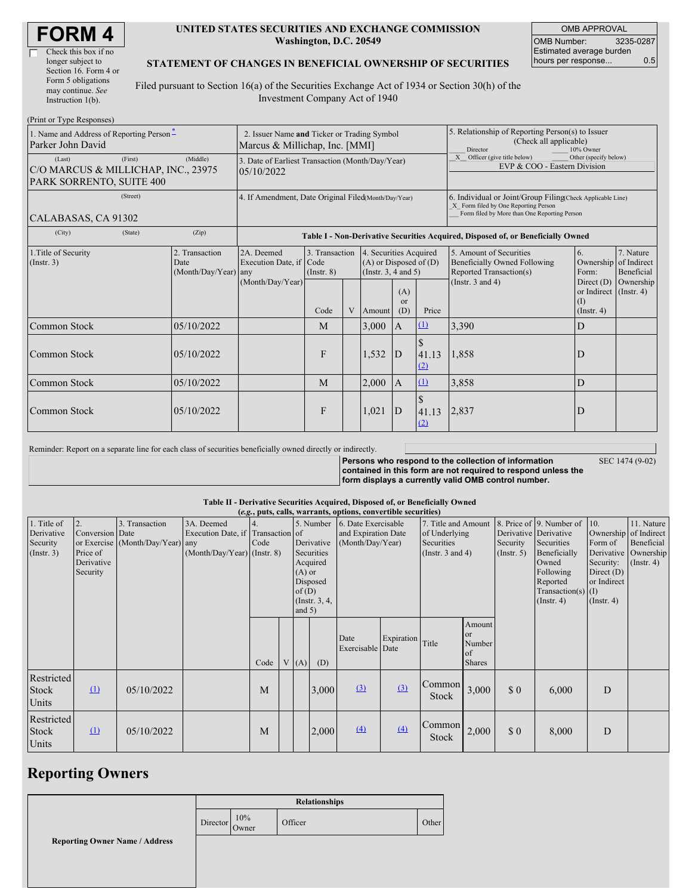| <b>FORM4</b> |
|--------------|
|--------------|

 $\Box$ 

| Check this box if no  |
|-----------------------|
| longer subject to     |
| Section 16. Form 4 or |
| Form 5 obligations    |
| may continue. See     |
| Instruction 1(b).     |
|                       |

#### **UNITED STATES SECURITIES AND EXCHANGE COMMISSION Washington, D.C. 20549**

OMB APPROVAL OMB Number: 3235-0287 Estimated average burden hours per response... 0.5

#### **STATEMENT OF CHANGES IN BENEFICIAL OWNERSHIP OF SECURITIES**

Filed pursuant to Section 16(a) of the Securities Exchange Act of 1934 or Section 30(h) of the Investment Company Act of 1940

| (Print or Type Responses)                                                            |                                                                                                                                                                                                                  |                                                                |                                                      |                                                                                                                                                              |   |        |                                                                                                     |                                                                                       |                                                                                                                                                    |                                                                   |           |  |
|--------------------------------------------------------------------------------------|------------------------------------------------------------------------------------------------------------------------------------------------------------------------------------------------------------------|----------------------------------------------------------------|------------------------------------------------------|--------------------------------------------------------------------------------------------------------------------------------------------------------------|---|--------|-----------------------------------------------------------------------------------------------------|---------------------------------------------------------------------------------------|----------------------------------------------------------------------------------------------------------------------------------------------------|-------------------------------------------------------------------|-----------|--|
| 1. Name and Address of Reporting Person-<br>Parker John David                        | 2. Issuer Name and Ticker or Trading Symbol<br>Marcus & Millichap, Inc. [MMI]                                                                                                                                    |                                                                |                                                      |                                                                                                                                                              |   |        | 5. Relationship of Reporting Person(s) to Issuer<br>(Check all applicable)<br>Director<br>10% Owner |                                                                                       |                                                                                                                                                    |                                                                   |           |  |
| (First)<br>(Last)<br>C/O MARCUS & MILLICHAP, INC., 23975<br>PARK SORRENTO, SUITE 400 | (Middle)                                                                                                                                                                                                         | 3. Date of Earliest Transaction (Month/Day/Year)<br>05/10/2022 |                                                      |                                                                                                                                                              |   |        |                                                                                                     | X Officer (give title below)<br>Other (specify below)<br>EVP & COO - Eastern Division |                                                                                                                                                    |                                                                   |           |  |
| (Street)<br>CALABASAS, CA 91302                                                      |                                                                                                                                                                                                                  |                                                                | 4. If Amendment, Date Original Filed(Month/Day/Year) |                                                                                                                                                              |   |        |                                                                                                     |                                                                                       | 6. Individual or Joint/Group Filing Check Applicable Line)<br>X Form filed by One Reporting Person<br>Form filed by More than One Reporting Person |                                                                   |           |  |
| (City)                                                                               | (State)                                                                                                                                                                                                          | (Zip)                                                          |                                                      |                                                                                                                                                              |   |        |                                                                                                     |                                                                                       | Table I - Non-Derivative Securities Acquired, Disposed of, or Beneficially Owned                                                                   |                                                                   |           |  |
| 1. Title of Security<br>$($ Instr. 3 $)$                                             | 2. Transaction<br>3. Transaction<br>2A. Deemed<br>4. Securities Acquired<br>Execution Date, if Code<br>$(A)$ or Disposed of $(D)$<br>Date<br>(Instr. $3, 4$ and $5$ )<br>(Month/Day/Year) any<br>$($ Instr. $8)$ |                                                                |                                                      | 5. Amount of Securities<br>7. Nature<br>6.<br>Ownership of Indirect<br><b>Beneficially Owned Following</b><br>Reported Transaction(s)<br>Beneficial<br>Form: |   |        |                                                                                                     |                                                                                       |                                                                                                                                                    |                                                                   |           |  |
|                                                                                      |                                                                                                                                                                                                                  |                                                                | (Month/Day/Year)                                     | Code                                                                                                                                                         | V | Amount | (A)<br><sub>or</sub><br>(D)                                                                         | Price                                                                                 | (Instr. $3$ and $4$ )                                                                                                                              | Direct $(D)$<br>or Indirect (Instr. 4)<br>(I)<br>$($ Instr. 4 $)$ | Ownership |  |
| Common Stock                                                                         |                                                                                                                                                                                                                  | 05/10/2022                                                     |                                                      | M                                                                                                                                                            |   | 3,000  | A                                                                                                   | $\Omega$                                                                              | 3,390                                                                                                                                              | D                                                                 |           |  |
| Common Stock                                                                         |                                                                                                                                                                                                                  | 05/10/2022                                                     |                                                      | $\mathsf{F}$                                                                                                                                                 |   | 1,532  | D                                                                                                   | 41.13<br>(2)                                                                          | 1,858                                                                                                                                              | D                                                                 |           |  |
| Common Stock                                                                         |                                                                                                                                                                                                                  | 05/10/2022                                                     |                                                      | M                                                                                                                                                            |   | 2,000  | $\mathbf{A}$                                                                                        | (1)                                                                                   | 3,858                                                                                                                                              | D                                                                 |           |  |
| Common Stock                                                                         |                                                                                                                                                                                                                  | 05/10/2022                                                     |                                                      | $\mathbf{F}$                                                                                                                                                 |   | 1,021  | D                                                                                                   | 41.13<br>(2)                                                                          | 2,837                                                                                                                                              | D                                                                 |           |  |

| Reminder: Report on a separate line for each class of securities beneficially owned directly or indirectly. |                                                                             |  |
|-------------------------------------------------------------------------------------------------------------|-----------------------------------------------------------------------------|--|
|                                                                                                             | <b>Persons who respond to the compare</b><br>contained in this form are not |  |

SEC 1474 (9-02)

**persons propertion c contained in this form are not required to respond unless the form displays a currently valid OMB control number.**

### **Table II - Derivative Securities Acquired, Disposed of, or Beneficially Owned**

|                                                           | (e.g., puts, calls, warrants, options, convertible securities) |                                                    |                                                                                |            |  |                               |                                                                                                                                                    |                          |                                                                             |                        |                                                      |                                                                                                                                                               |                                                                                                         |                                                                     |  |
|-----------------------------------------------------------|----------------------------------------------------------------|----------------------------------------------------|--------------------------------------------------------------------------------|------------|--|-------------------------------|----------------------------------------------------------------------------------------------------------------------------------------------------|--------------------------|-----------------------------------------------------------------------------|------------------------|------------------------------------------------------|---------------------------------------------------------------------------------------------------------------------------------------------------------------|---------------------------------------------------------------------------------------------------------|---------------------------------------------------------------------|--|
| 1. Title of<br>Derivative<br>Security<br>$($ Instr. 3 $)$ | 2.<br>Conversion Date<br>Price of<br>Derivative<br>Security    | 3. Transaction<br>or Exercise (Month/Day/Year) any | 3A. Deemed<br>Execution Date, if Transaction of<br>(Month/Day/Year) (Instr. 8) | 4.<br>Code |  | $(A)$ or<br>of(D)<br>and $5)$ | 5. Number<br>6. Date Exercisable<br>and Expiration Date<br>Derivative<br>(Month/Day/Year)<br>Securities<br>Acquired<br>Disposed<br>(Instr. $3, 4,$ |                          | 7. Title and Amount<br>of Underlying<br>Securities<br>(Instr. $3$ and $4$ ) |                        | Security<br>(Insert. 5)                              | 8. Price of 9. Number of<br>Derivative Derivative<br>Securities<br>Beneficially<br>Owned<br>Following<br>Reported<br>$Transaction(s)$ (I)<br>$($ Instr. 4 $)$ | 10.<br>Ownership of Indirect<br>Form of<br>Security:<br>Direct $(D)$<br>or Indirect<br>$($ Instr. 4 $)$ | 11. Nature<br>Beneficial<br>Derivative   Ownership<br>$($ Instr. 4) |  |
|                                                           |                                                                |                                                    |                                                                                | Code       |  | V(A)                          | (D)                                                                                                                                                | Date<br>Exercisable Date | Expiration Title                                                            |                        | Amount<br><b>or</b><br>Number<br>of<br><b>Shares</b> |                                                                                                                                                               |                                                                                                         |                                                                     |  |
| Restricted<br>Stock<br>Units                              | $\Omega$                                                       | 05/10/2022                                         |                                                                                | M          |  |                               | 3,000                                                                                                                                              | $\Omega$                 | $\Omega$                                                                    | Common<br><b>Stock</b> | 3,000                                                | \$0                                                                                                                                                           | 6,000                                                                                                   | D                                                                   |  |
| Restricted<br><b>Stock</b><br>Units                       | $\Omega$                                                       | 05/10/2022                                         |                                                                                | M          |  |                               | 2,000                                                                                                                                              | $\Delta$                 | (4)                                                                         | Common<br><b>Stock</b> | 2,000                                                | \$0                                                                                                                                                           | 8,000                                                                                                   | D                                                                   |  |

# **Reporting Owners**

|                                       | <b>Relationships</b> |              |         |       |  |
|---------------------------------------|----------------------|--------------|---------|-------|--|
|                                       | Director             | 10%<br>Owner | Officer | Other |  |
| <b>Reporting Owner Name / Address</b> |                      |              |         |       |  |